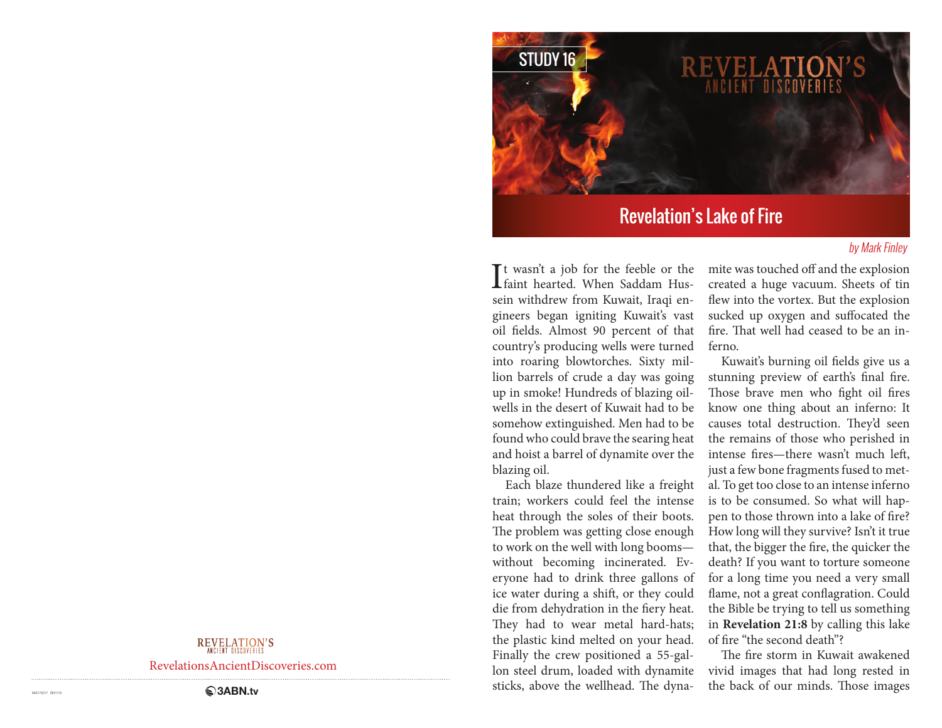

# Revelation's Lake of Fire

### by Mark Finley

It wasn't a job for the feeble or the<br>faint hearted. When Saddam Husfaint hearted. When Saddam Hussein withdrew from Kuwait, Iraqi engineers began igniting Kuwait's vast oil fields. Almost 90 percent of that country's producing wells were turned into roaring blowtorches. Sixty million barrels of crude a day was going up in smoke! Hundreds of blazing oilwells in the desert of Kuwait had to be somehow extinguished. Men had to be found who could brave the searing heat and hoist a barrel of dynamite over the blazing oil.

Each blaze thundered like a freight train; workers could feel the intense heat through the soles of their boots. The problem was getting close enough to work on the well with long booms without becoming incinerated. Everyone had to drink three gallons of ice water during a shift, or they could die from dehydration in the fiery heat. They had to wear metal hard-hats; the plastic kind melted on your head. Finally the crew positioned a 55-gallon steel drum, loaded with dynamite sticks, above the wellhead. The dynamite was touched off and the explosion created a huge vacuum. Sheets of tin flew into the vortex. But the explosion sucked up oxygen and suffocated the fire. That well had ceased to be an inferno.

Kuwait's burning oil fields give us a stunning preview of earth's final fire. Those brave men who fight oil fires know one thing about an inferno: It causes total destruction. They'd seen the remains of those who perished in intense fires—there wasn't much left, just a few bone fragments fused to metal. To get too close to an intense inferno is to be consumed. So what will happen to those thrown into a lake of fire? How long will they survive? Isn't it true that, the bigger the fire, the quicker the death? If you want to torture someone for a long time you need a very small flame, not a great conflagration. Could the Bible be trying to tell us something in **Revelation 21:8** by calling this lake of fire "the second death"?

The fire storm in Kuwait awakened vivid images that had long rested in the back of our minds. Those images

## REVELATION'S

RevelationsAncientDiscoveries.com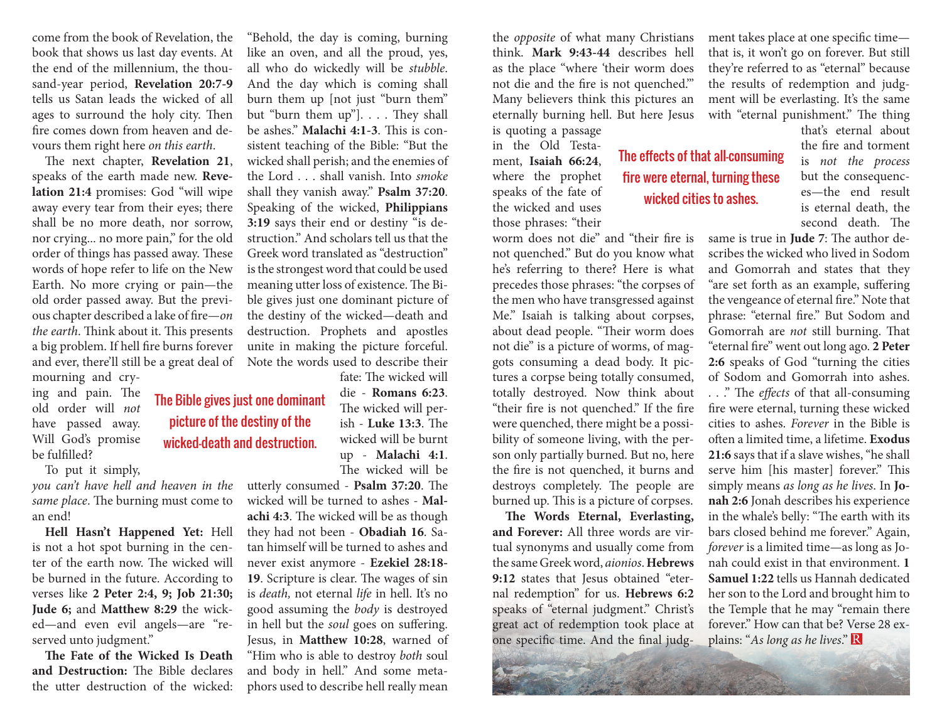come from the book of Revelation, the book that shows us last day events. At the end of the millennium, the thousand-year period, **Revelation 20:7-9**  tells us Satan leads the wicked of all ages to surround the holy city. Then fire comes down from heaven and devours them right here *on this earth*.

The next chapter, **Revelation 21**, speaks of the earth made new. **Revelation 21:4** promises: God "will wipe away every tear from their eyes; there shall be no more death, nor sorrow, nor crying... no more pain," for the old order of things has passed away. These words of hope refer to life on the New Earth. No more crying or pain—the old order passed away. But the previous chapter described a lake of fire—*on the earth*. Think about it. This presents a big problem. If hell fire burns forever and ever, there'll still be a great deal of

mourning and crying and pain. The old order will *not*  have passed away. Will God's promise be fulfilled?

To put it simply,

*you can't have hell and heaven in the same place*. The burning must come to an end!

The Bible gives just one dominant picture of the destiny of the wicked—death and destruction.

**Hell Hasn't Happened Yet:** Hell is not a hot spot burning in the center of the earth now. The wicked will be burned in the future. According to verses like **2 Peter 2:4, 9; Job 21:30; Jude 6;** and **Matthew 8:29** the wicked—and even evil angels—are "reserved unto judgment."

**The Fate of the Wicked Is Death and Destruction:** The Bible declares the utter destruction of the wicked:

"Behold, the day is coming, burning like an oven, and all the proud, yes, all who do wickedly will be *stubble*. And the day which is coming shall burn them up [not just "burn them" but "burn them up"]. . . . They shall be ashes." **Malachi 4:1-3**. This is consistent teaching of the Bible: "But the wicked shall perish; and the enemies of the Lord . . . shall vanish. Into *smoke*  shall they vanish away." **Psalm 37:20**. Speaking of the wicked, **Philippians 3:19** says their end or destiny "is destruction." And scholars tell us that the Greek word translated as "destruction" is the strongest word that could be used meaning utter loss of existence. The Bible gives just one dominant picture of the destiny of the wicked—death and destruction. Prophets and apostles unite in making the picture forceful. Note the words used to describe their

> fate: The wicked will die - **Romans 6:23**. The wicked will perish - **Luke 13:3**. The wicked will be burnt up - **Malachi 4:1**. The wicked will be

utterly consumed - **Psalm 37:20**. The wicked will be turned to ashes - **Malachi 4:3**. The wicked will be as though they had not been - **Obadiah 16**. Satan himself will be turned to ashes and never exist anymore - **Ezekiel 28:18- 19**. Scripture is clear. The wages of sin is *death,* not eternal *life* in hell. It's no good assuming the *body* is destroyed in hell but the *soul* goes on suffering. Jesus, in **Matthew 10:28**, warned of "Him who is able to destroy *both* soul and body in hell." And some metaphors used to describe hell really mean

the *opposite* of what many Christians think. **Mark 9:43-44** describes hell as the place "where 'their worm does not die and the fire is not quenched.'" Many believers think this pictures an eternally burning hell. But here Jesus is quoting a passage

> The effects of that all-consuming fire were eternal, turning these wicked cities to ashes.

in the Old Testament, **Isaiah 66:24**, where the prophet speaks of the fate of the wicked and uses those phrases: "their

worm does not die" and "their fire is not quenched." But do you know what he's referring to there? Here is what precedes those phrases: "the corpses of the men who have transgressed against Me." Isaiah is talking about corpses, about dead people. "Their worm does not die" is a picture of worms, of maggots consuming a dead body. It pictures a corpse being totally consumed, totally destroyed. Now think about "their fire is not quenched." If the fire were quenched, there might be a possibility of someone living, with the person only partially burned. But no, here the fire is not quenched, it burns and destroys completely. The people are burned up. This is a picture of corpses.

**The Words Eternal, Everlasting, and Forever:** All three words are virtual synonyms and usually come from the same Greek word, *aionios*. **Hebrews 9:12** states that Jesus obtained "eternal redemption" for us. **Hebrews 6:2** speaks of "eternal judgment." Christ's great act of redemption took place at one specific time. And the final judgment takes place at one specific time that is, it won't go on forever. But still they're referred to as "eternal" because the results of redemption and judgment will be everlasting. It's the same with "eternal punishment." The thing

that's eternal about the fire and torment is *not the process* but the consequences—the end result is eternal death, the second death. The

same is true in **Jude 7**: The author describes the wicked who lived in Sodom and Gomorrah and states that they "are set forth as an example, suffering the vengeance of eternal fire." Note that phrase: "eternal fire." But Sodom and Gomorrah are *not* still burning. That "eternal fire" went out long ago. **2 Peter 2:6** speaks of God "turning the cities of Sodom and Gomorrah into ashes.

. . ." The *effects* of that all-consuming fire were eternal, turning these wicked cities to ashes. *Forever* in the Bible is often a limited time, a lifetime. **Exodus 21:6** says that if a slave wishes, "he shall serve him [his master] forever." This simply means *as long as he lives*. In **Jonah 2:6** Jonah describes his experience in the whale's belly: "The earth with its bars closed behind me forever." Again, *forever* is a limited time—as long as Jonah could exist in that environment. **1 Samuel 1:22** tells us Hannah dedicated her son to the Lord and brought him to the Temple that he may "remain there forever." How can that be? Verse 28 explains: "*As long as he lives*."